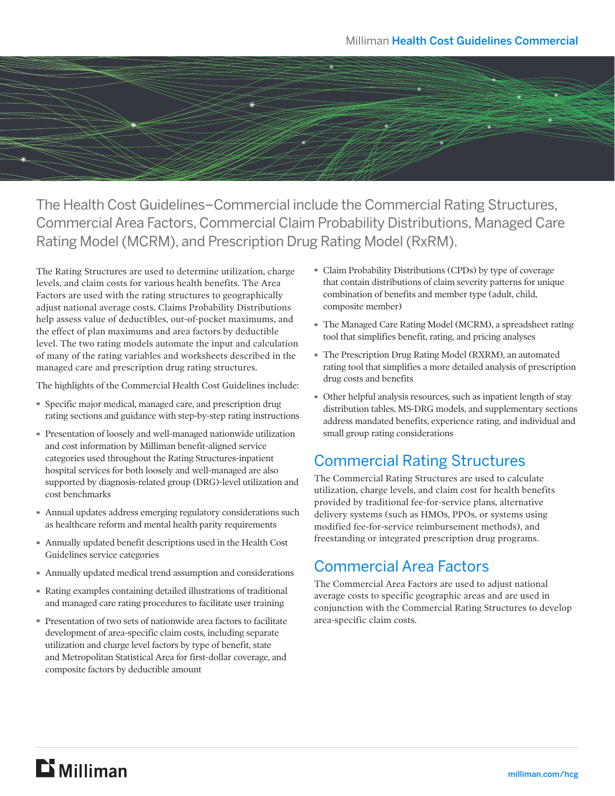

The Health Cost Guidelines–Commercial include the Commercial Rating Structures, Commercial Area Factors, Commercial Claim Probability Distributions, Managed Care Rating Model (MCRM), and Prescription Drug Rating Model (RxRM).

The Rating Structures are used to determine utilization, charge levels, and claim costs for various health benefits. The Area Factors are used with the rating structures to geographically adjust national average costs. Claims Probability Distributions help assess value of deductibles, out-of-pocket maximums, and the effect of plan maximums and area factors by deductible level. The two rating models automate the input and calculation of many of the rating variables and worksheets described in the managed care and prescription drug rating structures.

The highlights of the Commercial Health Cost Guidelines include:

- · Specific major medical, managed care, and prescription drug rating sections and guidance with step-by-step rating instructions
- · Presentation of loosely and well-managed nationwide utilization and cost information by Milliman benefit-aligned service categories used throughout the Rating Structures-inpatient hospital services for both loosely and well-managed are also supported by diagnosis-related group (DRG)-level utilization and cost benchmarks
- · Annual updates address emerging regulatory considerations such as healthcare reform and mental health parity requirements
- · Annually updated benefit descriptions used in the Health Cost Guidelines service categories
- · Annually updated medical trend assumption and considerations
- · Rating examples containing detailed illustrations of traditional and managed care rating procedures to facilitate user training
- · Presentation of two sets of nationwide area factors to facilitate development of area-specific claim costs, including separate utilization and charge level factors by type of benefit, state and Metropolitan Statistical Area for first-dollar coverage, and composite factors by deductible amount
- · Claim Probability Distributions (CPDs) by type of coverage that contain distributions of claim severity patterns for unique combination of benefits and member type (adult, child, composite member)
- · The Managed Care Rating Model (MCRM), a spreadsheet rating tool that simplifies benefit, rating, and pricing analyses
- · The Prescription Drug Rating Model (RXRM), an automated rating tool that simplifies a more detailed analysis of prescription drug costs and benefits
- · Other helpful analysis resources, such as inpatient length of stay distribution tables, MS-DRG models, and supplementary sections address mandated benefits, experience rating, and individual and small group rating considerations

#### Commercial Rating Structures

The Commercial Rating Structures are used to calculate utilization, charge levels, and claim cost for health benefits provided by traditional fee-for-service plans, alternative delivery systems (such as HMOs, PPOs, or systems using modified fee-for-service reimbursement methods), and freestanding or integrated prescription drug programs.

## Commercial Area Factors

The Commercial Area Factors are used to adjust national average costs to specific geographic areas and are used in conjunction with the Commercial Rating Structures to develop area-specific claim costs.

## $\mathbf{D}$  Milliman